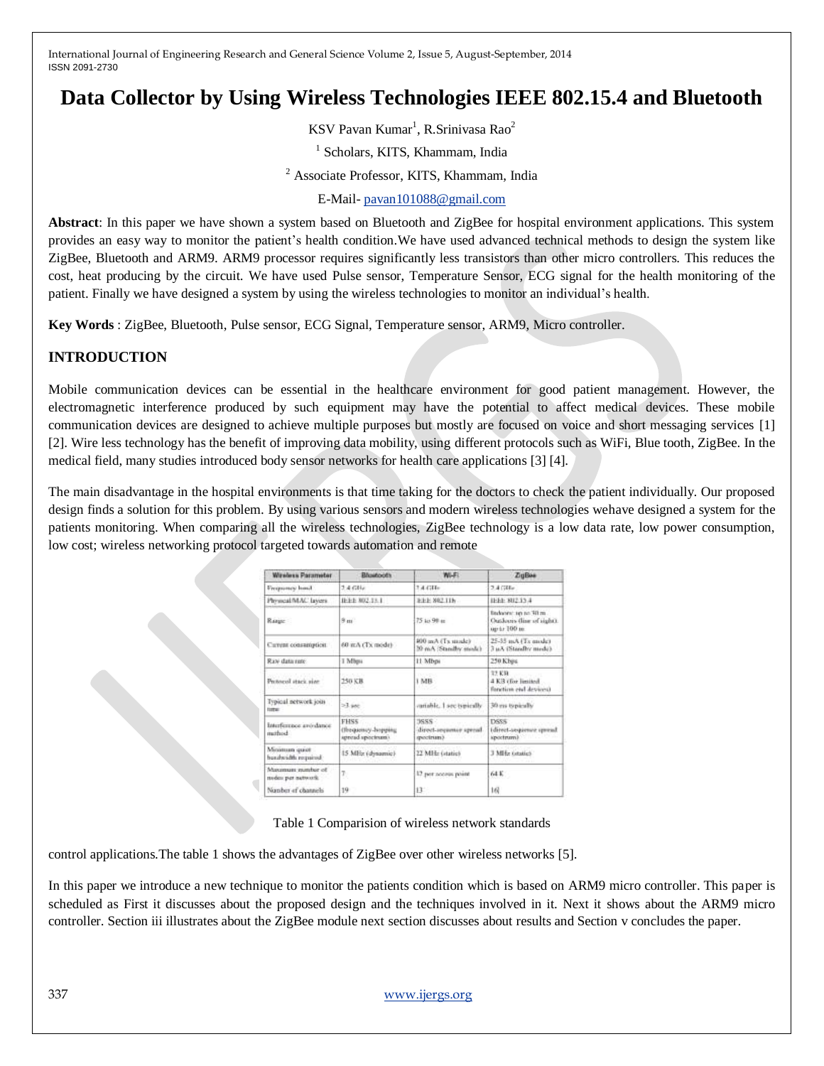# **Data Collector by Using Wireless Technologies IEEE 802.15.4 and Bluetooth**

KSV Pavan Kumar<sup>1</sup>, R.Srinivasa Rao<sup>2</sup>

1 Scholars, KITS, Khammam, India

<sup>2</sup> Associate Professor, KITS, Khammam, India

E-Mail- [pavan101088@gmail.com](mailto:pavan101088@gmail.com)

**Abstract**: In this paper we have shown a system based on Bluetooth and ZigBee for hospital environment applications. This system provides an easy way to monitor the patient's health condition.We have used advanced technical methods to design the system like ZigBee, Bluetooth and ARM9. ARM9 processor requires significantly less transistors than other micro controllers. This reduces the cost, heat producing by the circuit. We have used Pulse sensor, Temperature Sensor, ECG signal for the health monitoring of the patient. Finally we have designed a system by using the wireless technologies to monitor an individual's health.

**Key Words** : ZigBee, Bluetooth, Pulse sensor, ECG Signal, Temperature sensor, ARM9, Micro controller.

## **INTRODUCTION**

Mobile communication devices can be essential in the healthcare environment for good patient management. However, the electromagnetic interference produced by such equipment may have the potential to affect medical devices. These mobile communication devices are designed to achieve multiple purposes but mostly are focused on voice and short messaging services [1] [2]. Wire less technology has the benefit of improving data mobility, using different protocols such as WiFi, Blue tooth, ZigBee. In the medical field, many studies introduced body sensor networks for health care applications [3] [4].

The main disadvantage in the hospital environments is that time taking for the doctors to check the patient individually. Our proposed design finds a solution for this problem. By using various sensors and modern wireless technologies wehave designed a system for the patients monitoring. When comparing all the wireless technologies, ZigBee technology is a low data rate, low power consumption, low cost; wireless networking protocol targeted towards automation and remote

| Wireless Parameter                       | Bluetooth                                        | WI-FI                                         | <b>ZuBos</b>                                                        |
|------------------------------------------|--------------------------------------------------|-----------------------------------------------|---------------------------------------------------------------------|
| Frequency hond                           | $2.4 \,$ GBIs                                    | 2.4.734 <sub>0</sub>                          | $2.4$ CHEs                                                          |
| Physical/MAC layers                      | IEEE 802.18-1                                    | FEE 802 11h                                   | E-E2 SU2 13.4                                                       |
| Range:                                   | $8 \text{ m}$                                    | 75 to 98 as                                   | Brobanne top ret 30 m.<br>Outdoors (line of sight).<br>up to 100 m. |
| Cureas consamption.                      | 60 mA (Tx mode)                                  | 400 anA (Tx mode)<br>30 mA (Standby mode)     | 25-35 mA (Tx qualc)<br>3 u.3, (Standby mede).                       |
| Raw data rare                            | I Miles                                          | 11 Mbps                                       | 250 Kbps                                                            |
| Personnel stark size:                    | 250 元井                                           | 1 MB                                          | 17.KR<br>4 KB (for limited)<br>fonction end devices)                |
| Typical network join<br>tome             | $-3.98c$                                         | canable. I see typically                      | 30 ms typically                                                     |
| Interference avoidance<br>mathied        | FHS5<br>(Requesty-Inspering<br>spread spectrums. | 3655<br>direct-sequence spenal.<br>spectrum). | DSSS.<br>Idirect-sequence spread<br>spectrum).                      |
| Minimum quot<br>benzhvadth required      | 15 MHz (dynamic)                                 | 22 MHz (static)                               | 3 Miller Gradie's                                                   |
| Maximum matcher of<br>modes per network. |                                                  | 17 yest nonrow point                          | 64 K                                                                |
| Norsber of channels                      | 19                                               | 13                                            | 16                                                                  |

Table 1 Comparision of wireless network standards

control applications.The table 1 shows the advantages of ZigBee over other wireless networks [5].

In this paper we introduce a new technique to monitor the patients condition which is based on ARM9 micro controller. This paper is scheduled as First it discusses about the proposed design and the techniques involved in it. Next it shows about the ARM9 micro controller. Section iii illustrates about the ZigBee module next section discusses about results and Section v concludes the paper.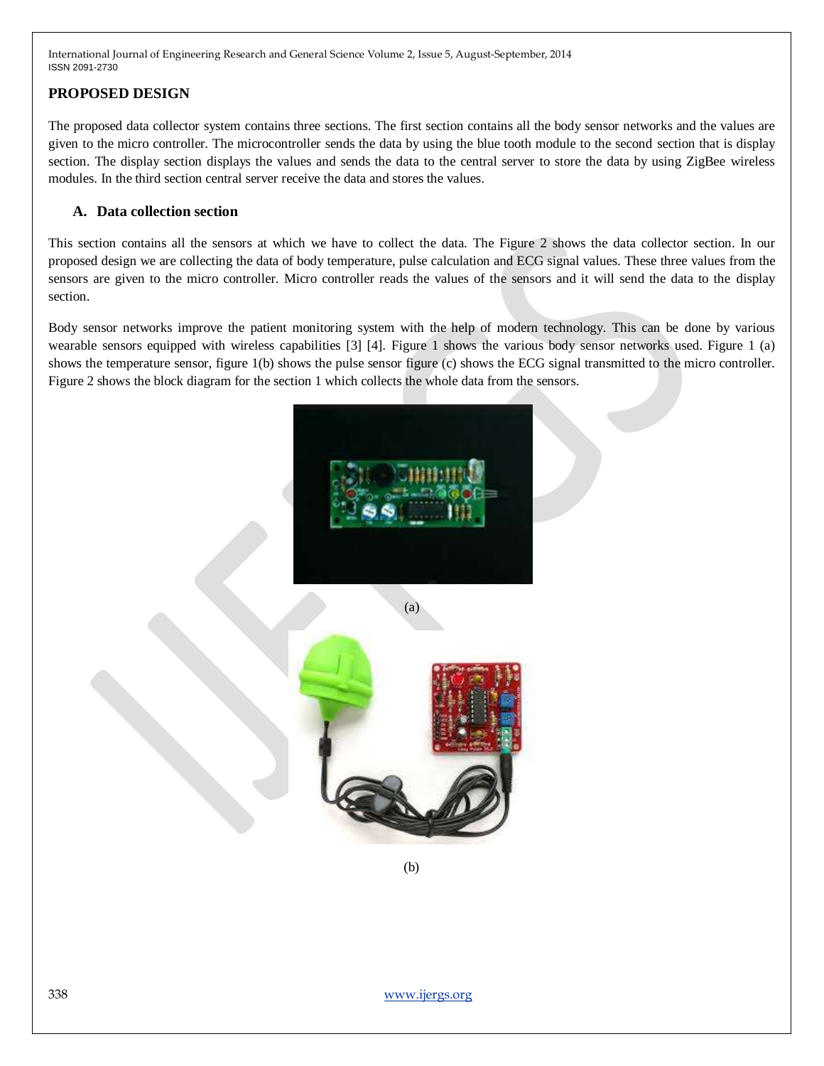## **PROPOSED DESIGN**

The proposed data collector system contains three sections. The first section contains all the body sensor networks and the values are given to the micro controller. The microcontroller sends the data by using the blue tooth module to the second section that is display section. The display section displays the values and sends the data to the central server to store the data by using ZigBee wireless modules. In the third section central server receive the data and stores the values.

## **A. Data collection section**

This section contains all the sensors at which we have to collect the data. The Figure 2 shows the data collector section. In our proposed design we are collecting the data of body temperature, pulse calculation and ECG signal values. These three values from the sensors are given to the micro controller. Micro controller reads the values of the sensors and it will send the data to the display section.

Body sensor networks improve the patient monitoring system with the help of modern technology. This can be done by various wearable sensors equipped with wireless capabilities [3] [4]. Figure 1 shows the various body sensor networks used. Figure 1 (a) shows the temperature sensor, figure 1(b) shows the pulse sensor figure (c) shows the ECG signal transmitted to the micro controller. Figure 2 shows the block diagram for the section 1 which collects the whole data from the sensors.





(b)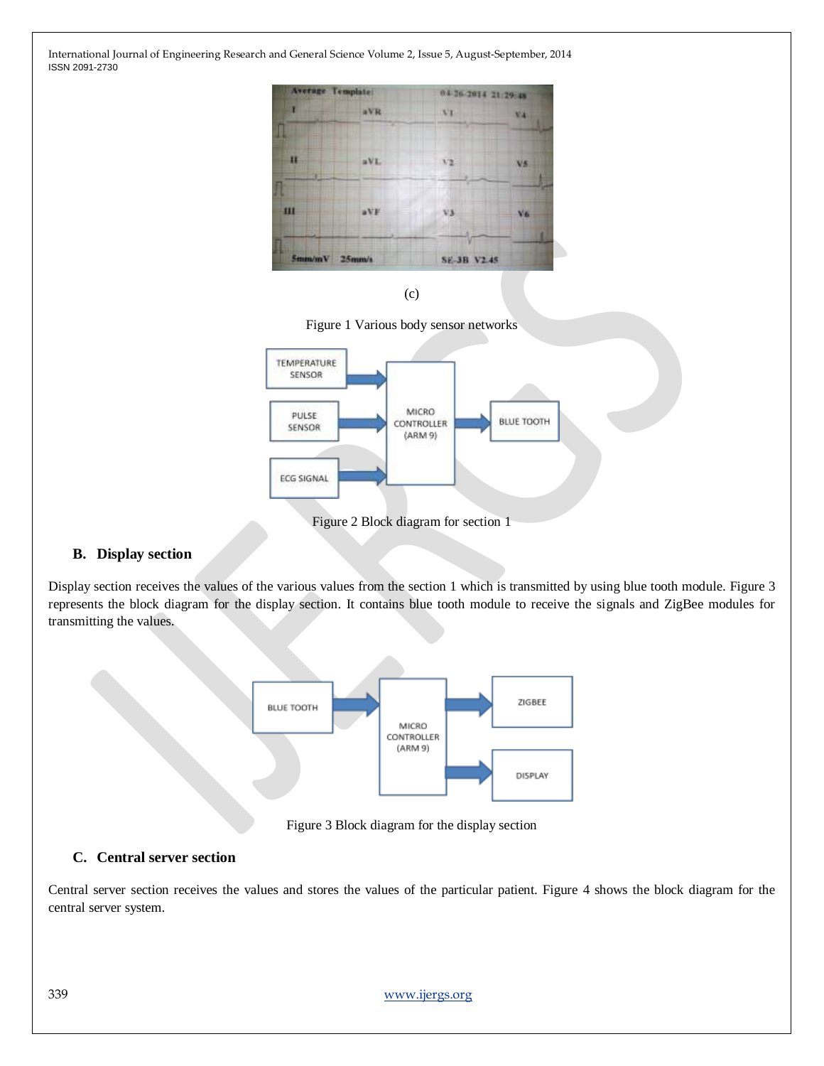

(c)





Figure 2 Block diagram for section 1

# **B. Display section**

Display section receives the values of the various values from the section 1 which is transmitted by using blue tooth module. Figure 3 represents the block diagram for the display section. It contains blue tooth module to receive the signals and ZigBee modules for transmitting the values.



Figure 3 Block diagram for the display section

## **C. Central server section**

Central server section receives the values and stores the values of the particular patient. Figure 4 shows the block diagram for the central server system.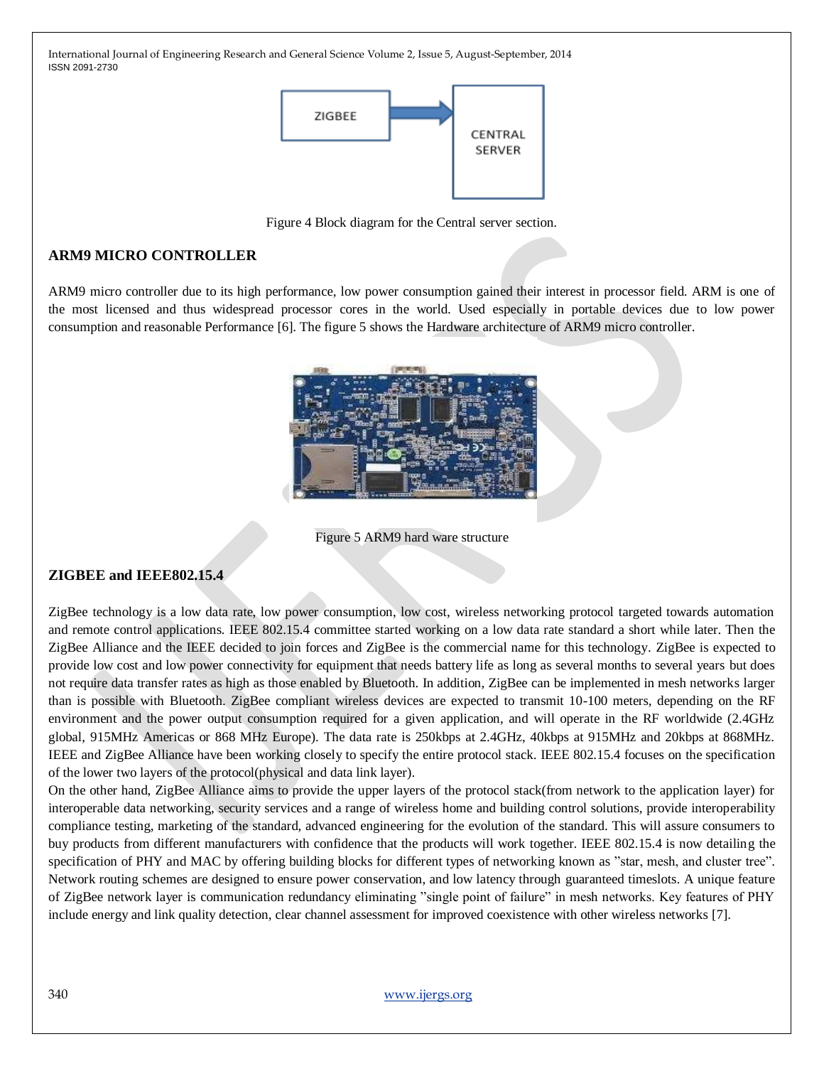

Figure 4 Block diagram for the Central server section.

# **ARM9 MICRO CONTROLLER**

ARM9 micro controller due to its high performance, low power consumption gained their interest in processor field. ARM is one of the most licensed and thus widespread processor cores in the world. Used especially in portable devices due to low power consumption and reasonable Performance [6]. The figure 5 shows the Hardware architecture of ARM9 micro controller.



Figure 5 ARM9 hard ware structure

## **ZIGBEE and IEEE802.15.4**

ZigBee technology is a low data rate, low power consumption, low cost, wireless networking protocol targeted towards automation and remote control applications. IEEE 802.15.4 committee started working on a low data rate standard a short while later. Then the ZigBee Alliance and the IEEE decided to join forces and ZigBee is the commercial name for this technology. ZigBee is expected to provide low cost and low power connectivity for equipment that needs battery life as long as several months to several years but does not require data transfer rates as high as those enabled by Bluetooth. In addition, ZigBee can be implemented in mesh networks larger than is possible with Bluetooth. ZigBee compliant wireless devices are expected to transmit 10-100 meters, depending on the RF environment and the power output consumption required for a given application, and will operate in the RF worldwide (2.4GHz global, 915MHz Americas or 868 MHz Europe). The data rate is 250kbps at 2.4GHz, 40kbps at 915MHz and 20kbps at 868MHz. IEEE and ZigBee Alliance have been working closely to specify the entire protocol stack. IEEE 802.15.4 focuses on the specification of the lower two layers of the protocol(physical and data link layer).

On the other hand, ZigBee Alliance aims to provide the upper layers of the protocol stack(from network to the application layer) for interoperable data networking, security services and a range of wireless home and building control solutions, provide interoperability compliance testing, marketing of the standard, advanced engineering for the evolution of the standard. This will assure consumers to buy products from different manufacturers with confidence that the products will work together. IEEE 802.15.4 is now detailing the specification of PHY and MAC by offering building blocks for different types of networking known as "star, mesh, and cluster tree". Network routing schemes are designed to ensure power conservation, and low latency through guaranteed timeslots. A unique feature of ZigBee network layer is communication redundancy eliminating "single point of failure" in mesh networks. Key features of PHY include energy and link quality detection, clear channel assessment for improved coexistence with other wireless networks [7].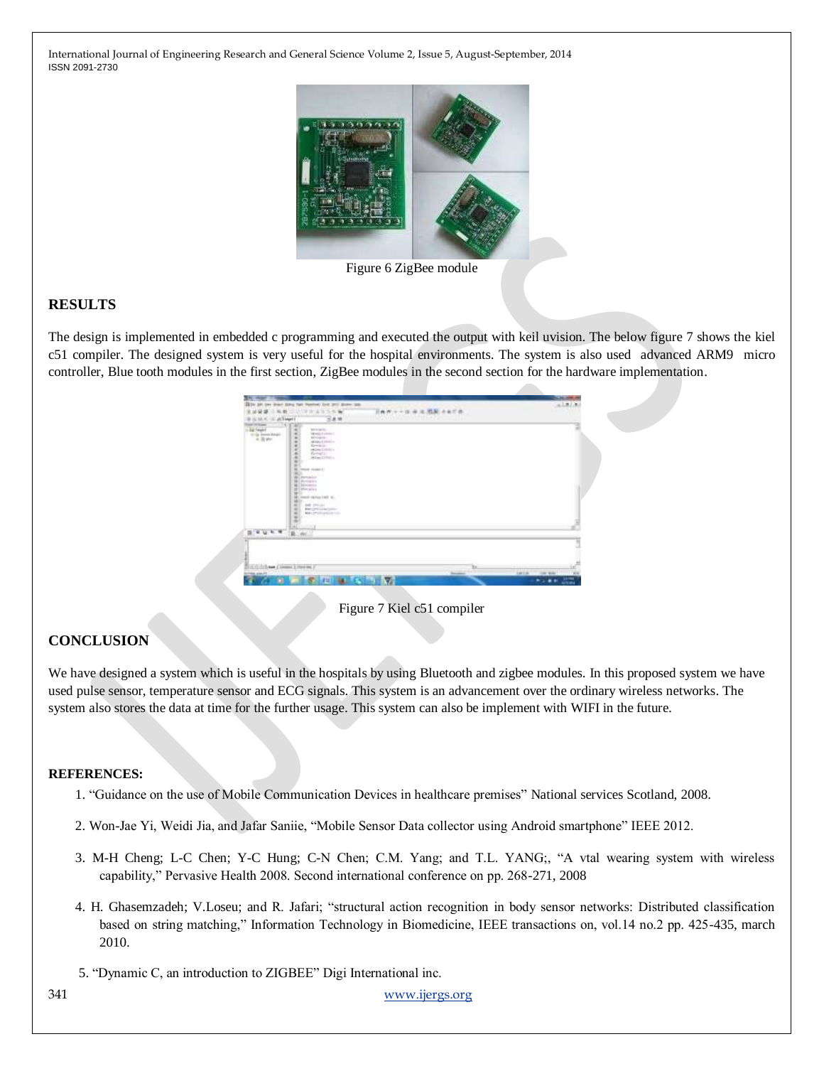

Figure 6 ZigBee module

#### **RESULTS**

The design is implemented in embedded c programming and executed the output with keil uvision. The below figure 7 shows the kiel c51 compiler. The designed system is very useful for the hospital environments. The system is also used advanced ARM9 micro controller, Blue tooth modules in the first section, ZigBee modules in the second section for the hardware implementation.

| <b>MAG</b><br><b>START</b>                              |                                                                                                                                                                                                                                                                              |                                    | <b>CALIFORNIA</b>                   |
|---------------------------------------------------------|------------------------------------------------------------------------------------------------------------------------------------------------------------------------------------------------------------------------------------------------------------------------------|------------------------------------|-------------------------------------|
| $\omega$ as<br>m                                        | Died Silva Tall Fastest Sct. 311 Street St.<br><b>SUSTAINATION</b><br>$\rightarrow$                                                                                                                                                                                          | 电阻<br>$1.49 - 1.28 + 0.08 + 0.078$ | 1818                                |
| - different i<br>要出格书<br>and the former                 | 288                                                                                                                                                                                                                                                                          | <b>VIOLITY PARK</b>                |                                     |
| la feart<br>ty by finest fistall.<br>$+3100$            | u<br>۰<br>'an'estama's<br>$\overline{a}$<br>WEBSTERNESS<br>$\overline{a}$<br><b>BESSERS</b><br>$\overline{a}$<br>MALLISHED,<br>120011<br><b>Kimming</b><br>only Director<br>Detail:<br><b>Jerber (1999)</b><br>$\sim$<br>(496) 8-14-64-1-1<br>۰<br><b>Poviable</b><br>$\sim$ |                                    |                                     |
| <b>STORY OF</b><br>実証を用                                 | <b>Biominatory</b><br>×<br><b>Bivinicia</b><br>×<br>discales.<br>$\rightarrow$<br>٠<br>local caller (will be<br>a<br>٠<br><b>EXP</b> PRESER<br>٠<br>Box 1 pro canalism<br>۰<br>MATERIAL PROPERTY<br>я<br>×<br>٠<br>a<br><b>CONTRACTOR</b><br><b>B.</b> W.                    |                                    |                                     |
|                                                         |                                                                                                                                                                                                                                                                              |                                    |                                     |
|                                                         |                                                                                                                                                                                                                                                                              |                                    |                                     |
|                                                         |                                                                                                                                                                                                                                                                              |                                    |                                     |
| ATCOLOGY AND A SHOWCH I PRODUCT<br><b>Borden annual</b> |                                                                                                                                                                                                                                                                              | 'n<br><b>Science</b>               | ш<br><b>LAYA</b><br>Vo.<br>THE WALL |
| a.                                                      | <b>STATE OF STATE</b>                                                                                                                                                                                                                                                        | w                                  | 農<br><b>ALL # 40</b>                |

Figure 7 Kiel c51 compiler

# **CONCLUSION**

We have designed a system which is useful in the hospitals by using Bluetooth and zigbee modules. In this proposed system we have used pulse sensor, temperature sensor and ECG signals. This system is an advancement over the ordinary wireless networks. The system also stores the data at time for the further usage. This system can also be implement with WIFI in the future.

#### **REFERENCES:**

- 1. "Guidance on the use of Mobile Communication Devices in healthcare premises" National services Scotland, 2008.
- 2. Won-Jae Yi, Weidi Jia, and Jafar Saniie, "Mobile Sensor Data collector using Android smartphone" IEEE 2012.
- 3. M-H Cheng; L-C Chen; Y-C Hung; C-N Chen; C.M. Yang; and T.L. YANG;, "A vtal wearing system with wireless capability," Pervasive Health 2008. Second international conference on pp. 268-271, 2008
- 4. H. Ghasemzadeh; V.Loseu; and R. Jafari; "structural action recognition in body sensor networks: Distributed classification based on string matching," Information Technology in Biomedicine, IEEE transactions on, vol.14 no.2 pp. 425-435, march 2010.
- 5. "Dynamic C, an introduction to ZIGBEE" Digi International inc.

341 [www.ijergs.org](http://www.ijergs.org/)